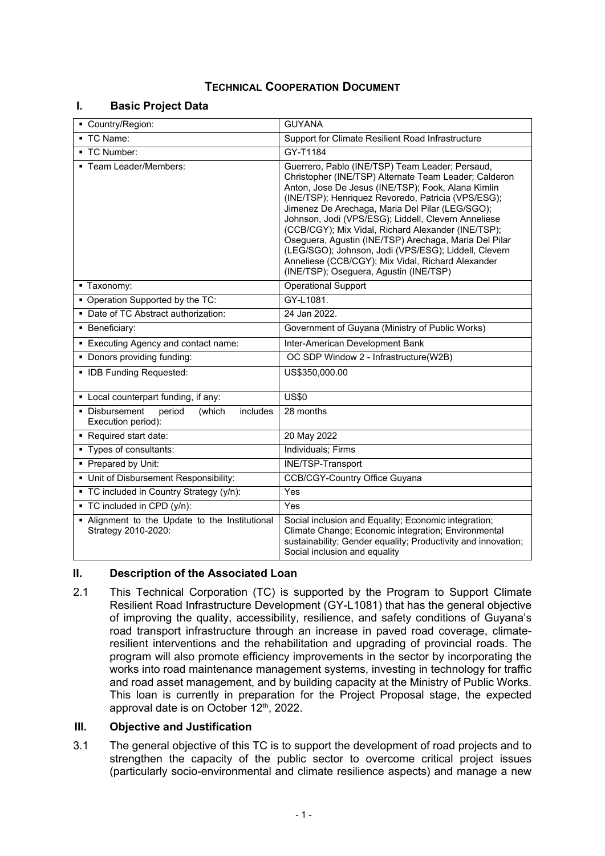## **TECHNICAL COOPERATION DOCUMENT**

## **I. Basic Project Data**

| Country/Region:                                                       | <b>GUYANA</b>                                                                                                                                                                                                                                                                                                                                                                                                                                                                                                                                                                                        |  |  |
|-----------------------------------------------------------------------|------------------------------------------------------------------------------------------------------------------------------------------------------------------------------------------------------------------------------------------------------------------------------------------------------------------------------------------------------------------------------------------------------------------------------------------------------------------------------------------------------------------------------------------------------------------------------------------------------|--|--|
| ■ TC Name:                                                            | Support for Climate Resilient Road Infrastructure                                                                                                                                                                                                                                                                                                                                                                                                                                                                                                                                                    |  |  |
| ■ TC Number:                                                          | GY-T1184                                                                                                                                                                                                                                                                                                                                                                                                                                                                                                                                                                                             |  |  |
| ■ Team Leader/Members:                                                | Guerrero, Pablo (INE/TSP) Team Leader; Persaud,<br>Christopher (INE/TSP) Alternate Team Leader; Calderon<br>Anton, Jose De Jesus (INE/TSP); Fook, Alana Kimlin<br>(INE/TSP); Henriquez Revoredo, Patricia (VPS/ESG);<br>Jimenez De Arechaga, Maria Del Pilar (LEG/SGO);<br>Johnson, Jodi (VPS/ESG); Liddell, Clevern Anneliese<br>(CCB/CGY); Mix Vidal, Richard Alexander (INE/TSP);<br>Oseguera, Agustin (INE/TSP) Arechaga, Maria Del Pilar<br>(LEG/SGO); Johnson, Jodi (VPS/ESG); Liddell, Clevern<br>Anneliese (CCB/CGY); Mix Vidal, Richard Alexander<br>(INE/TSP); Oseguera, Agustin (INE/TSP) |  |  |
| ■ Taxonomy:                                                           | <b>Operational Support</b>                                                                                                                                                                                                                                                                                                                                                                                                                                                                                                                                                                           |  |  |
| • Operation Supported by the TC:                                      | GY-L1081.                                                                                                                                                                                                                                                                                                                                                                                                                                                                                                                                                                                            |  |  |
| • Date of TC Abstract authorization:                                  | 24 Jan 2022.                                                                                                                                                                                                                                                                                                                                                                                                                                                                                                                                                                                         |  |  |
| • Beneficiary:                                                        | Government of Guyana (Ministry of Public Works)                                                                                                                                                                                                                                                                                                                                                                                                                                                                                                                                                      |  |  |
| <b>Executing Agency and contact name:</b>                             | Inter-American Development Bank                                                                                                                                                                                                                                                                                                                                                                                                                                                                                                                                                                      |  |  |
| • Donors providing funding:                                           | OC SDP Window 2 - Infrastructure(W2B)                                                                                                                                                                                                                                                                                                                                                                                                                                                                                                                                                                |  |  |
| • IDB Funding Requested:                                              | US\$350,000.00                                                                                                                                                                                                                                                                                                                                                                                                                                                                                                                                                                                       |  |  |
| • Local counterpart funding, if any:                                  | <b>US\$0</b>                                                                                                                                                                                                                                                                                                                                                                                                                                                                                                                                                                                         |  |  |
| • Disbursement<br>period<br>(which<br>includes<br>Execution period):  | 28 months                                                                                                                                                                                                                                                                                                                                                                                                                                                                                                                                                                                            |  |  |
| Required start date:                                                  | 20 May 2022                                                                                                                                                                                                                                                                                                                                                                                                                                                                                                                                                                                          |  |  |
| • Types of consultants:                                               | Individuals; Firms                                                                                                                                                                                                                                                                                                                                                                                                                                                                                                                                                                                   |  |  |
| • Prepared by Unit:                                                   | INE/TSP-Transport                                                                                                                                                                                                                                                                                                                                                                                                                                                                                                                                                                                    |  |  |
| • Unit of Disbursement Responsibility:                                | <b>CCB/CGY-Country Office Guyana</b>                                                                                                                                                                                                                                                                                                                                                                                                                                                                                                                                                                 |  |  |
| • TC included in Country Strategy (y/n):                              | Yes                                                                                                                                                                                                                                                                                                                                                                                                                                                                                                                                                                                                  |  |  |
| • TC included in CPD (y/n):                                           | Yes                                                                                                                                                                                                                                                                                                                                                                                                                                                                                                                                                                                                  |  |  |
| • Alignment to the Update to the Institutional<br>Strategy 2010-2020: | Social inclusion and Equality; Economic integration;<br>Climate Change; Economic integration; Environmental<br>sustainability; Gender equality; Productivity and innovation;<br>Social inclusion and equality                                                                                                                                                                                                                                                                                                                                                                                        |  |  |

## **II. Description of the Associated Loan**

2.1 This Technical Corporation (TC) is supported by the Program to Support Climate Resilient Road Infrastructure Development (GY-L1081) that has the general objective of improving the quality, accessibility, resilience, and safety conditions of Guyana's road transport infrastructure through an increase in paved road coverage, climateresilient interventions and the rehabilitation and upgrading of provincial roads. The program will also promote efficiency improvements in the sector by incorporating the works into road maintenance management systems, investing in technology for traffic and road asset management, and by building capacity at the Ministry of Public Works. This loan is currently in preparation for the Project Proposal stage, the expected approval date is on October 12th, 2022.

## **III. Objective and Justification**

3.1 The general objective of this TC is to support the development of road projects and to strengthen the capacity of the public sector to overcome critical project issues (particularly socio-environmental and climate resilience aspects) and manage a new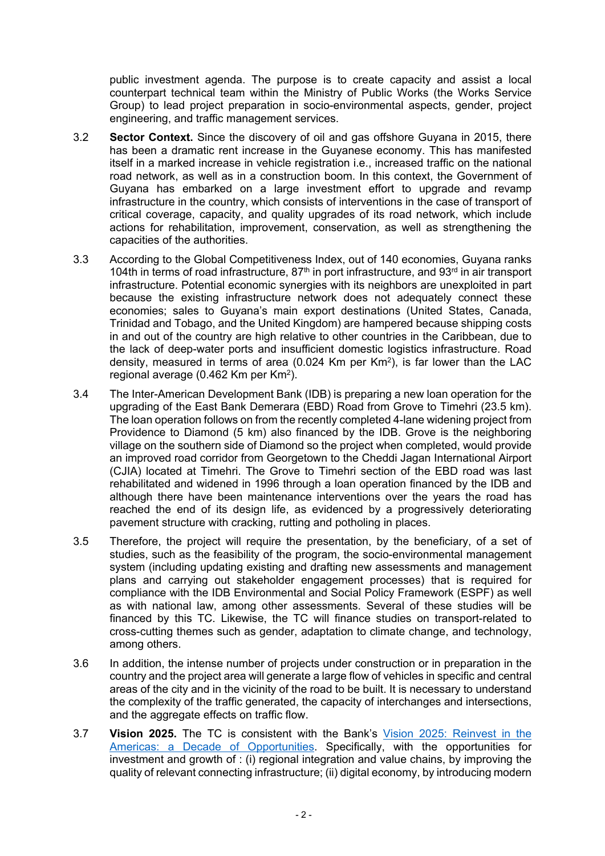public investment agenda. The purpose is to create capacity and assist a local counterpart technical team within the Ministry of Public Works (the Works Service Group) to lead project preparation in socio-environmental aspects, gender, project engineering, and traffic management services.

- 3.2 **Sector Context.** Since the discovery of oil and gas offshore Guyana in 2015, there has been a dramatic rent increase in the Guyanese economy. This has manifested itself in a marked increase in vehicle registration i.e., increased traffic on the national road network, as well as in a construction boom. In this context, the Government of Guyana has embarked on a large investment effort to upgrade and revamp infrastructure in the country, which consists of interventions in the case of transport of critical coverage, capacity, and quality upgrades of its road network, which include actions for rehabilitation, improvement, conservation, as well as strengthening the capacities of the authorities.
- 3.3 According to the Global Competitiveness Index, out of 140 economies, Guyana ranks 104th in terms of road infrastructure,  $87<sup>th</sup>$  in port infrastructure, and  $93<sup>rd</sup>$  in air transport infrastructure. Potential economic synergies with its neighbors are unexploited in part because the existing infrastructure network does not adequately connect these economies; sales to Guyana's main export destinations (United States, Canada, Trinidad and Tobago, and the United Kingdom) are hampered because shipping costs in and out of the country are high relative to other countries in the Caribbean, due to the lack of deep-water ports and insufficient domestic logistics infrastructure. Road density, measured in terms of area (0.024 Km per  $Km^2$ ), is far lower than the LAC regional average (0.462 Km per Km<sup>2</sup>).
- 3.4 The Inter-American Development Bank (IDB) is preparing a new loan operation for the upgrading of the East Bank Demerara (EBD) Road from Grove to Timehri (23.5 km). The loan operation follows on from the recently completed 4-lane widening project from Providence to Diamond (5 km) also financed by the IDB. Grove is the neighboring village on the southern side of Diamond so the project when completed, would provide an improved road corridor from Georgetown to the Cheddi Jagan International Airport (CJIA) located at Timehri. The Grove to Timehri section of the EBD road was last rehabilitated and widened in 1996 through a loan operation financed by the IDB and although there have been maintenance interventions over the years the road has reached the end of its design life, as evidenced by a progressively deteriorating pavement structure with cracking, rutting and potholing in places.
- 3.5 Therefore, the project will require the presentation, by the beneficiary, of a set of studies, such as the feasibility of the program, the socio-environmental management system (including updating existing and drafting new assessments and management plans and carrying out stakeholder engagement processes) that is required for compliance with the IDB Environmental and Social Policy Framework (ESPF) as well as with national law, among other assessments. Several of these studies will be financed by this TC. Likewise, the TC will finance studies on transport-related to cross-cutting themes such as gender, adaptation to climate change, and technology, among others.
- 3.6 In addition, the intense number of projects under construction or in preparation in the country and the project area will generate a large flow of vehicles in specific and central areas of the city and in the vicinity of the road to be built. It is necessary to understand the complexity of the traffic generated, the capacity of interchanges and intersections, and the aggregate effects on traffic flow.
- 3.7 **Vision 2025.** The TC is consistent with the Bank's [Vision 2025: Reinvest in the](http://idbdocs.iadb.org/wsdocs/getDocument.aspx?DOCNUM=EZSHARE-1434889300-48)  [Americas: a Decade of Opportunities](http://idbdocs.iadb.org/wsdocs/getDocument.aspx?DOCNUM=EZSHARE-1434889300-48). Specifically, with the opportunities for investment and growth of : (i) regional integration and value chains, by improving the quality of relevant connecting infrastructure; (ii) digital economy, by introducing modern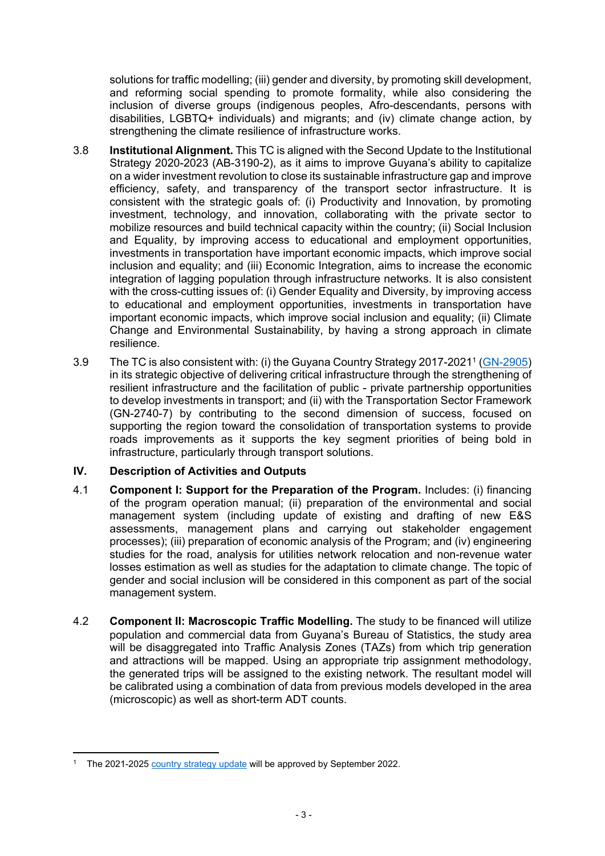solutions for traffic modelling; (iii) gender and diversity, by promoting skill development, and reforming social spending to promote formality, while also considering the inclusion of diverse groups (indigenous peoples, Afro-descendants, persons with disabilities, LGBTQ+ individuals) and migrants; and (iv) climate change action, by strengthening the climate resilience of infrastructure works.

- 3.8 **Institutional Alignment.** This TC is aligned with the Second Update to the Institutional Strategy 2020-2023 (AB-3190-2), as it aims to improve Guyana's ability to capitalize on a wider investment revolution to close its sustainable infrastructure gap and improve efficiency, safety, and transparency of the transport sector infrastructure. It is consistent with the strategic goals of: (i) Productivity and Innovation, by promoting investment, technology, and innovation, collaborating with the private sector to mobilize resources and build technical capacity within the country; (ii) Social Inclusion and Equality, by improving access to educational and employment opportunities, investments in transportation have important economic impacts, which improve social inclusion and equality; and (iii) Economic Integration, aims to increase the economic integration of lagging population through infrastructure networks. It is also consistent with the cross-cutting issues of: (i) Gender Equality and Diversity, by improving access to educational and employment opportunities, investments in transportation have important economic impacts, which improve social inclusion and equality; (ii) Climate Change and Environmental Sustainability, by having a strong approach in climate resilience.
- 3.9 The TC is also consistent with: (i) the Guyana Country Strategy 2017-2021<sup>1</sup> [\(GN-2905\)](file:///C://Users/josecal/Downloads/IDB%2520Group%2520Country%2520Strategy%2520with%2520the%2520Cooperative%2520Republic%2520of%2520Guyana%25202017-2021.pdf) in its strategic objective of delivering critical infrastructure through the strengthening of resilient infrastructure and the facilitation of public - private partnership opportunities to develop investments in transport; and (ii) with the Transportation Sector Framework (GN-2740-7) by contributing to the second dimension of success, focused on supporting the region toward the consolidation of transportation systems to provide roads improvements as it supports the key segment priorities of being bold in infrastructure, particularly through transport solutions.

## **IV. Description of Activities and Outputs**

- 4.1 **Component I: Support for the Preparation of the Program.** Includes: (i) financing of the program operation manual; (ii) preparation of the environmental and social management system (including update of existing and drafting of new E&S assessments, management plans and carrying out stakeholder engagement processes); (iii) preparation of economic analysis of the Program; and (iv) engineering studies for the road, analysis for utilities network relocation and non-revenue water losses estimation as well as studies for the adaptation to climate change. The topic of gender and social inclusion will be considered in this component as part of the social management system.
- 4.2 **Component II: Macroscopic Traffic Modelling.** The study to be financed will utilize population and commercial data from Guyana's Bureau of Statistics, the study area will be disaggregated into Traffic Analysis Zones (TAZs) from which trip generation and attractions will be mapped. Using an appropriate trip assignment methodology, the generated trips will be assigned to the existing network. The resultant model will be calibrated using a combination of data from previous models developed in the area (microscopic) as well as short-term ADT counts.

<sup>&</sup>lt;sup>1</sup> The 2021-2025 [country strategy update](https://idbg.sharepoint.com/:w:/r/teams/EZ-GY-PRG/GY-P1144/_layouts/15/Doc.aspx?sourcedoc=%7B2C0E201C-A8A4-4E41-B7E7-D4E7C4DDEC8E%7D&file=Guyana%20-%20Country%20Strategy%20Timeline.docx&action=default&mobileredirect=true&isSPOFile=1¶ms=eyJBcHBOYW1lIjoiVGVhbXMtRGVza3RvcCIsIkFwcFZlcnNpb24iOiIyNy8yMjAzMDcwMTYxMCJ9&cid=75ee921f-8160-4300-9fe9-3edb348ae9f8) will be approved by September 2022.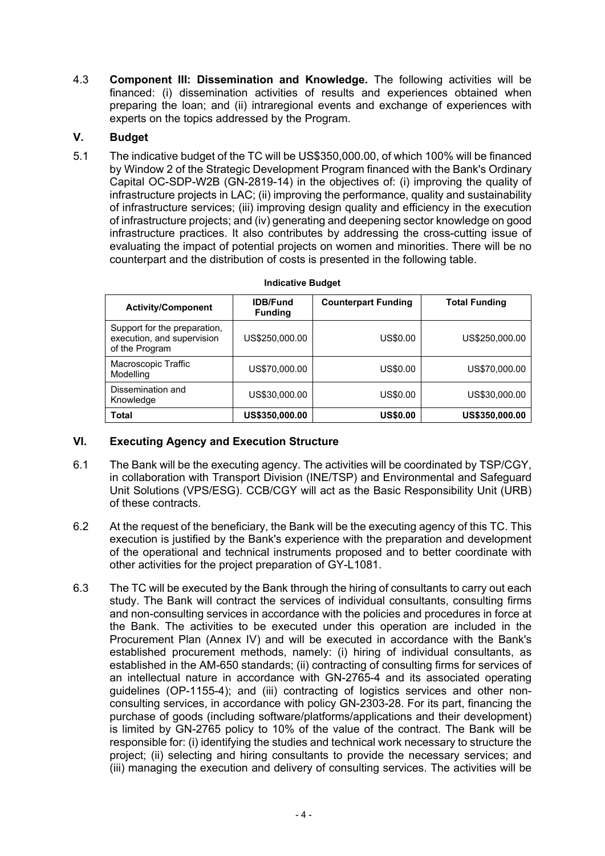4.3 **Component III: Dissemination and Knowledge.** The following activities will be financed: (i) dissemination activities of results and experiences obtained when preparing the loan; and (ii) intraregional events and exchange of experiences with experts on the topics addressed by the Program.

# **V. Budget**

5.1 The indicative budget of the TC will be US\$350,000.00, of which 100% will be financed by Window 2 of the Strategic Development Program financed with the Bank's Ordinary Capital OC-SDP-W2B (GN-2819-14) in the objectives of: (i) improving the quality of infrastructure projects in LAC; (ii) improving the performance, quality and sustainability of infrastructure services; (iii) improving design quality and efficiency in the execution of infrastructure projects; and (iv) generating and deepening sector knowledge on good infrastructure practices. It also contributes by addressing the cross-cutting issue of evaluating the impact of potential projects on women and minorities. There will be no counterpart and the distribution of costs is presented in the following table.

| <b>Activity/Component</b>                                                    | <b>IDB/Fund</b><br><b>Funding</b> | <b>Counterpart Funding</b> | <b>Total Funding</b> |
|------------------------------------------------------------------------------|-----------------------------------|----------------------------|----------------------|
| Support for the preparation,<br>execution, and supervision<br>of the Program | US\$250,000.00                    | US\$0.00                   | US\$250,000.00       |
| Macroscopic Traffic<br>Modelling                                             | US\$70,000.00                     | US\$0.00                   | US\$70,000.00        |
| Dissemination and<br>Knowledge                                               | US\$30,000.00                     | US\$0.00                   | US\$30,000.00        |
| <b>Total</b>                                                                 | US\$350,000.00                    | <b>US\$0.00</b>            | US\$350,000.00       |

#### **Indicative Budget**

# **VI. Executing Agency and Execution Structure**

- 6.1 The Bank will be the executing agency. The activities will be coordinated by TSP/CGY, in collaboration with Transport Division (INE/TSP) and Environmental and Safeguard Unit Solutions (VPS/ESG). CCB/CGY will act as the Basic Responsibility Unit (URB) of these contracts.
- 6.2 At the request of the beneficiary, the Bank will be the executing agency of this TC. This execution is justified by the Bank's experience with the preparation and development of the operational and technical instruments proposed and to better coordinate with other activities for the project preparation of GY-L1081.
- 6.3 The TC will be executed by the Bank through the hiring of consultants to carry out each study. The Bank will contract the services of individual consultants, consulting firms and non-consulting services in accordance with the policies and procedures in force at the Bank. The activities to be executed under this operation are included in the Procurement Plan (Annex IV) and will be executed in accordance with the Bank's established procurement methods, namely: (i) hiring of individual consultants, as established in the AM-650 standards; (ii) contracting of consulting firms for services of an intellectual nature in accordance with GN-2765-4 and its associated operating guidelines (OP-1155-4); and (iii) contracting of logistics services and other nonconsulting services, in accordance with policy GN-2303-28. For its part, financing the purchase of goods (including software/platforms/applications and their development) is limited by GN-2765 policy to 10% of the value of the contract. The Bank will be responsible for: (i) identifying the studies and technical work necessary to structure the project; (ii) selecting and hiring consultants to provide the necessary services; and (iii) managing the execution and delivery of consulting services. The activities will be